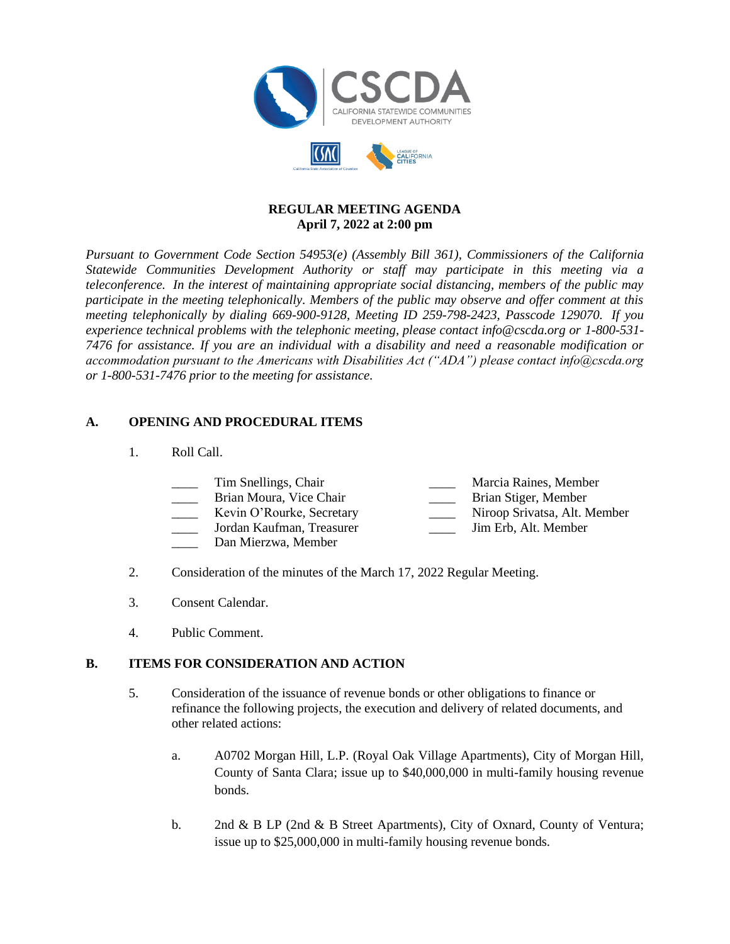

### **REGULAR MEETING AGENDA April 7, 2022 at 2:00 pm**

*Pursuant to Government Code Section 54953(e) (Assembly Bill 361), Commissioners of the California Statewide Communities Development Authority or staff may participate in this meeting via a teleconference. In the interest of maintaining appropriate social distancing, members of the public may participate in the meeting telephonically. Members of the public may observe and offer comment at this meeting telephonically by dialing 669-900-9128, Meeting ID 259-798-2423, Passcode 129070. If you experience technical problems with the telephonic meeting, please contact info@cscda.org or 1-800-531- 7476 for assistance. If you are an individual with a disability and need a reasonable modification or accommodation pursuant to the Americans with Disabilities Act ("ADA") please contact info@cscda.org or 1-800-531-7476 prior to the meeting for assistance.*

# **A. OPENING AND PROCEDURAL ITEMS**

1. Roll Call.

| Tim Snellings, Chair      | Marcia Raines, Member        |
|---------------------------|------------------------------|
| Brian Moura, Vice Chair   | Brian Stiger, Member         |
| Kevin O'Rourke, Secretary | Niroop Srivatsa, Alt. Member |
| Jordan Kaufman, Treasurer | Jim Erb, Alt. Member         |

- Dan Mierzwa, Member
- 2. Consideration of the minutes of the March 17, 2022 Regular Meeting.
- 3. Consent Calendar.
- 4. Public Comment.

# **B. ITEMS FOR CONSIDERATION AND ACTION**

- 5. Consideration of the issuance of revenue bonds or other obligations to finance or refinance the following projects, the execution and delivery of related documents, and other related actions:
	- a. A0702 Morgan Hill, L.P. (Royal Oak Village Apartments), City of Morgan Hill, County of Santa Clara; issue up to \$40,000,000 in multi-family housing revenue bonds.
	- b. 2nd & B LP (2nd & B Street Apartments), City of Oxnard, County of Ventura; issue up to \$25,000,000 in multi-family housing revenue bonds.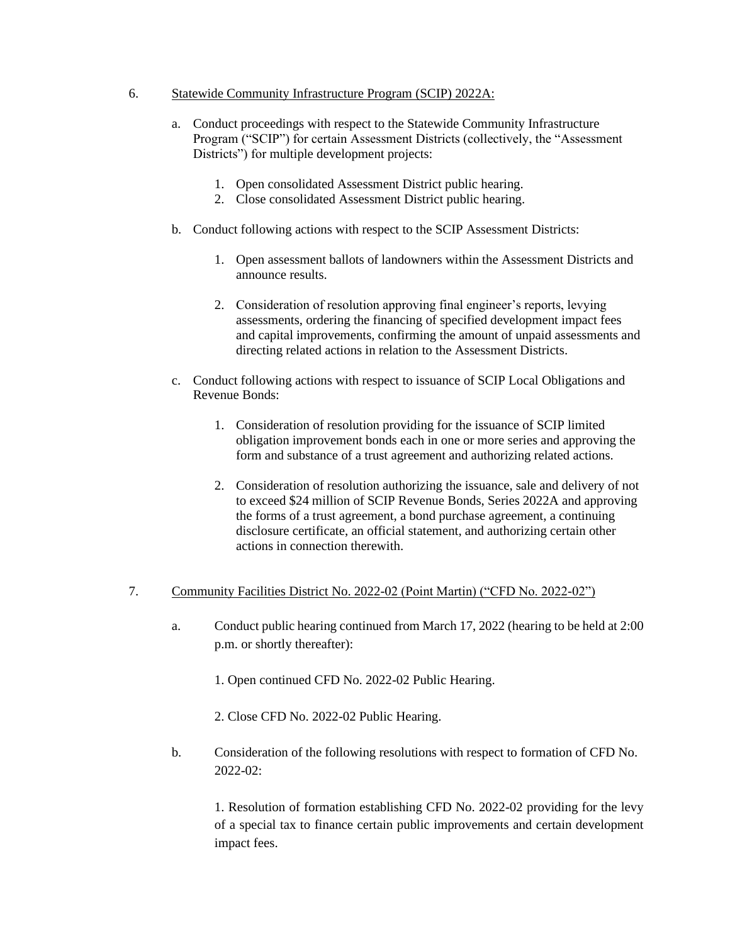#### 6. Statewide Community Infrastructure Program (SCIP) 2022A:

- a. Conduct proceedings with respect to the Statewide Community Infrastructure Program ("SCIP") for certain Assessment Districts (collectively, the "Assessment Districts") for multiple development projects:
	- 1. Open consolidated Assessment District public hearing.
	- 2. Close consolidated Assessment District public hearing.
- b. Conduct following actions with respect to the SCIP Assessment Districts:
	- 1. Open assessment ballots of landowners within the Assessment Districts and announce results.
	- 2. Consideration of resolution approving final engineer's reports, levying assessments, ordering the financing of specified development impact fees and capital improvements, confirming the amount of unpaid assessments and directing related actions in relation to the Assessment Districts.
- c. Conduct following actions with respect to issuance of SCIP Local Obligations and Revenue Bonds:
	- 1. Consideration of resolution providing for the issuance of SCIP limited obligation improvement bonds each in one or more series and approving the form and substance of a trust agreement and authorizing related actions.
	- 2. Consideration of resolution authorizing the issuance, sale and delivery of not to exceed \$24 million of SCIP Revenue Bonds, Series 2022A and approving the forms of a trust agreement, a bond purchase agreement, a continuing disclosure certificate, an official statement, and authorizing certain other actions in connection therewith.

### 7. Community Facilities District No. 2022-02 (Point Martin) ("CFD No. 2022-02")

- a. Conduct public hearing continued from March 17, 2022 (hearing to be held at 2:00 p.m. or shortly thereafter):
	- 1. Open continued CFD No. 2022-02 Public Hearing.
	- 2. Close CFD No. 2022-02 Public Hearing.
- b. Consideration of the following resolutions with respect to formation of CFD No. 2022-02:

1. Resolution of formation establishing CFD No. 2022-02 providing for the levy of a special tax to finance certain public improvements and certain development impact fees.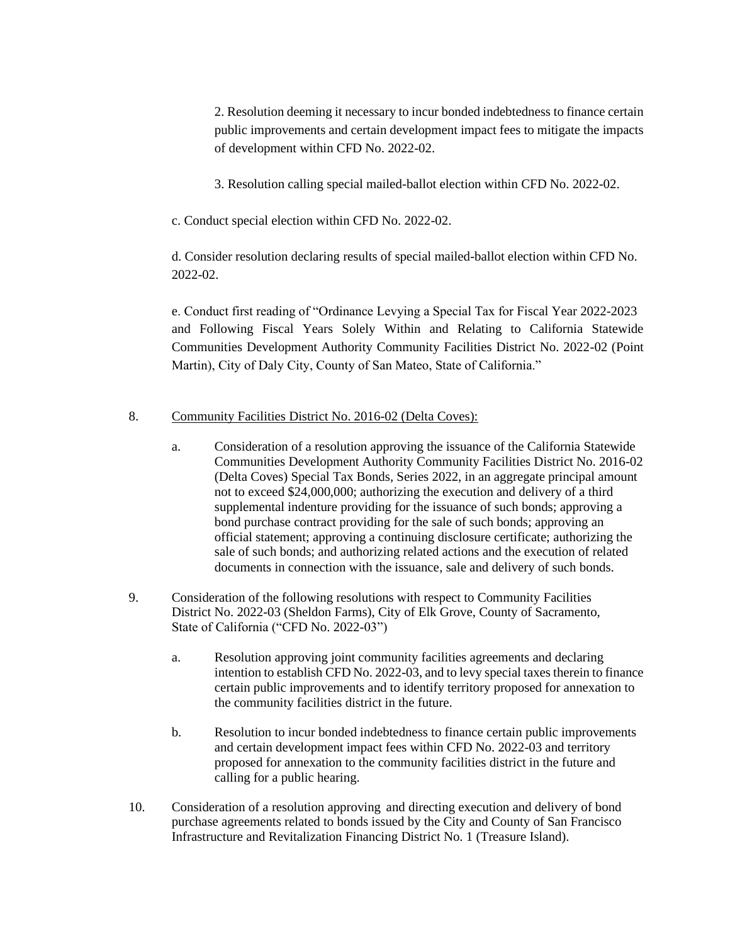2. Resolution deeming it necessary to incur bonded indebtedness to finance certain public improvements and certain development impact fees to mitigate the impacts of development within CFD No. 2022-02.

3. Resolution calling special mailed-ballot election within CFD No. 2022-02.

c. Conduct special election within CFD No. 2022-02.

d. Consider resolution declaring results of special mailed-ballot election within CFD No. 2022-02.

e. Conduct first reading of "Ordinance Levying a Special Tax for Fiscal Year 2022-2023 and Following Fiscal Years Solely Within and Relating to California Statewide Communities Development Authority Community Facilities District No. 2022-02 (Point Martin), City of Daly City, County of San Mateo, State of California."

# 8. Community Facilities District No. 2016-02 (Delta Coves):

- a. Consideration of a resolution approving the issuance of the California Statewide Communities Development Authority Community Facilities District No. 2016-02 (Delta Coves) Special Tax Bonds, Series 2022, in an aggregate principal amount not to exceed \$24,000,000; authorizing the execution and delivery of a third supplemental indenture providing for the issuance of such bonds; approving a bond purchase contract providing for the sale of such bonds; approving an official statement; approving a continuing disclosure certificate; authorizing the sale of such bonds; and authorizing related actions and the execution of related documents in connection with the issuance, sale and delivery of such bonds.
- 9. Consideration of the following resolutions with respect to Community Facilities District No. 2022-03 (Sheldon Farms), City of Elk Grove, County of Sacramento, State of California ("CFD No. 2022-03")
	- a. Resolution approving joint community facilities agreements and declaring intention to establish CFD No. 2022-03, and to levy special taxes therein to finance certain public improvements and to identify territory proposed for annexation to the community facilities district in the future.
	- b. Resolution to incur bonded indebtedness to finance certain public improvements and certain development impact fees within CFD No. 2022-03 and territory proposed for annexation to the community facilities district in the future and calling for a public hearing.
- 10. Consideration of a resolution approving and directing execution and delivery of bond purchase agreements related to bonds issued by the City and County of San Francisco Infrastructure and Revitalization Financing District No. 1 (Treasure Island).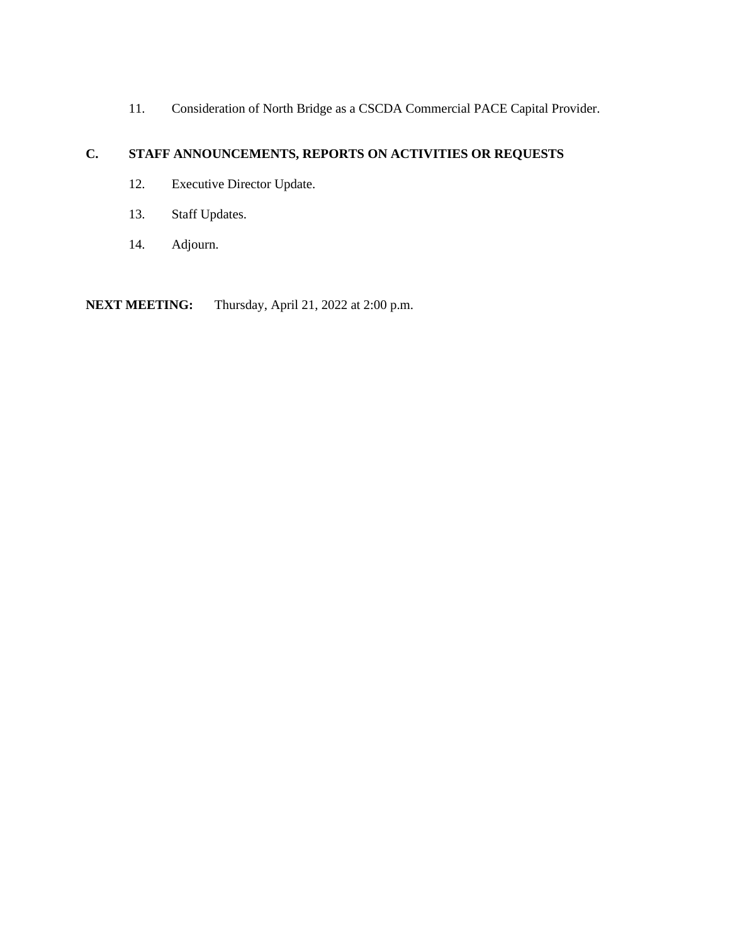11. Consideration of North Bridge as a CSCDA Commercial PACE Capital Provider.

# **C. STAFF ANNOUNCEMENTS, REPORTS ON ACTIVITIES OR REQUESTS**

- 12. Executive Director Update.
- 13. Staff Updates.
- 14. Adjourn.

**NEXT MEETING:** Thursday, April 21, 2022 at 2:00 p.m.